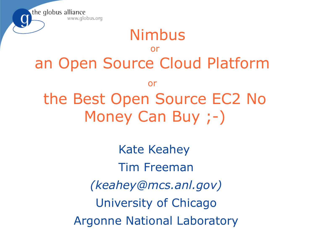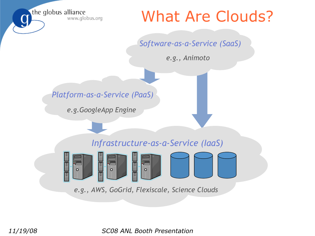### What Are Clouds?

#### *Software-as-a-Service (SaaS)*

*e.g., Animoto*

#### *Platform-as-a-Service (PaaS)*

*e.g.GoogleApp Engine*

#### *Infrastructure-as-a-Service (IaaS)*



*e.g., AWS, GoGrid, Flexiscale, Science Clouds*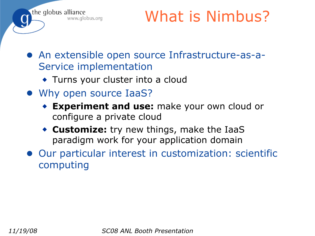

# What is Nimbus?

- An extensible open source Infrastructure-as-a-Service implementation
	- ◆ Turns your cluster into a cloud
- Why open source IaaS?
	- ◆ **Experiment and use:** make your own cloud or configure a private cloud
	- ◆ **Customize:** try new things, make the IaaS paradigm work for your application domain
- Our particular interest in customization: scientific computing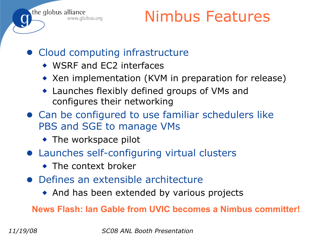

# Nimbus Features

- Cloud computing infrastructure
	- ◆ WSRF and EC2 interfaces
	- ◆ Xen implementation (KVM in preparation for release)
	- ◆ Launches flexibly defined groups of VMs and configures their networking
- Can be configured to use familiar schedulers like PBS and SGE to manage VMs
	- ◆ The workspace pilot
- Launches self-configuring virtual clusters
	- ◆ The context broker
- Defines an extensible architecture
	- ◆ And has been extended by various projects

**News Flash: Ian Gable from UVIC becomes a Nimbus committer!**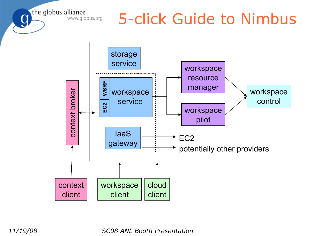### 5-click Guide to Nimbus

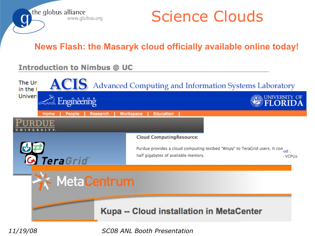

Science Clouds

**News Flash: the Masaryk cloud officially available online today!**

#### **Introduction to Nimbus @ UC**

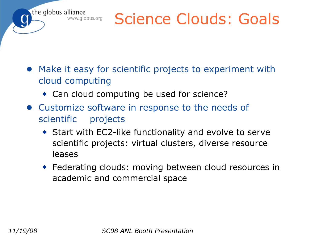# Science Clouds: Goals

- Make it easy for scientific projects to experiment with cloud computing
	- ◆ Can cloud computing be used for science?
- Customize software in response to the needs of scientific projects
	- ◆ Start with EC2-like functionality and evolve to serve scientific projects: virtual clusters, diverse resource leases
	- ◆ Federating clouds: moving between cloud resources in academic and commercial space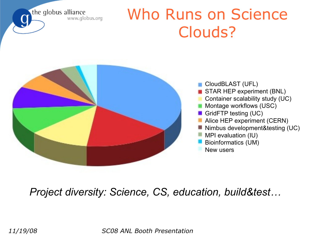# Who Runs on Science Clouds?



#### *Project diversity: Science, CS, education, build&test…*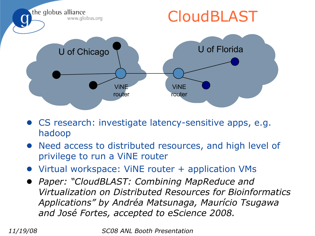

- CS research: investigate latency-sensitive apps, e.g. hadoop
- Need access to distributed resources, and high level of privilege to run a ViNE router
- Virtual workspace: ViNE router + application VMs
- *Paper: "CloudBLAST: Combining MapReduce and Virtualization on Distributed Resources for Bioinformatics Applications" by Andréa Matsunaga, Maurício Tsugawa and José Fortes, accepted to eScience 2008.*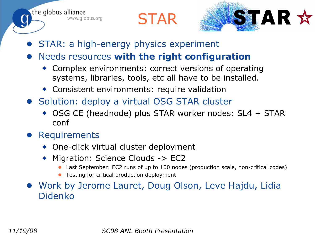



- STAR: a high-energy physics experiment
- **Needs resources with the right configuration** 
	- ◆ Complex environments: correct versions of operating systems, libraries, tools, etc all have to be installed.
	- ◆ Consistent environments: require validation
- Solution: deploy a virtual OSG STAR cluster
	- ◆ OSG CE (headnode) plus STAR worker nodes: SL4 + STAR conf
- **Requirements**

the globus alliance

www.globus.org

- ◆ One-click virtual cluster deployment
- Migration: Science Clouds -> EC2
	- Last September: EC2 runs of up to 100 nodes (production scale, non-critical codes)
	- Testing for critical production deployment
- Work by Jerome Lauret, Doug Olson, Leve Hajdu, Lidia Didenko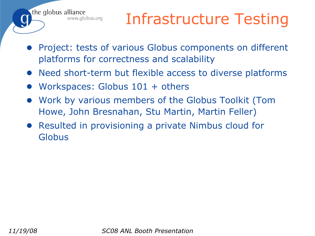# Infrastructure Testing

- Project: tests of various Globus components on different platforms for correctness and scalability
- Need short-term but flexible access to diverse platforms
- Workspaces: Globus 101 + others

the globus alliance

www.globus.org

- Work by various members of the Globus Toolkit (Tom Howe, John Bresnahan, Stu Martin, Martin Feller)
- Resulted in provisioning a private Nimbus cloud for Globus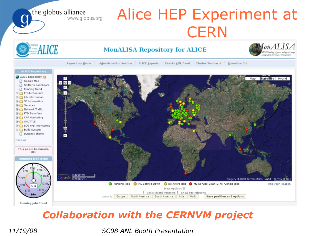Alice HEP Experiment at the globus alliance **CERN** IonALISA ALICE **MonALISA Repository for ALICE** ONitoring Agents using a La Administration Section : ALICE Reports : Events XML Feed : Firefox Toolbar ★ : MonaLisa GUI Repository Home **ALICE Repository** ALICE Repository  $\uparrow$ Satellite Hybrid Map Google Map GØB Shifter's dashboard Running trend Production info Job Information SE Information E Services Network Traffic **E-C** FTD Transfers **E-C** CAF Monitoring E-C SHUTTLE E LCG exp. monitoring **E-C** Build system Dynamic charts Ξ close all This page: bookmark, **URL Running jobs trend** 2000 mi oogle Imagery @2008 TerraMetrics, NASA - Terms of Use Running Jobs (C) ML Service Down (C) No Active Jobs (C) ML Service Down & no running jobs **Find your location** Map options  $\boxminus$ 13700  $\sqrt{\phantom{a}}$  Show xrootd transfers  $\sqrt{\phantom{a}}$  Show site relations Jump to: Europe North America South America Asia World Save position and options Running jobs trend

#### *Collaboration with the CERNVM project*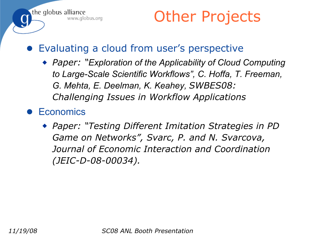

### Other Projects

- Evaluating a cloud from user's perspective
	- ◆ *Paper:* "*Exploration of the Applicability of Cloud Computing to Large-Scale Scientific Workflows", C. Hoffa, T. Freeman, G. Mehta, E. Deelman, K. Keahey, SWBES08: Challenging Issues in Workflow Applications*
- **Economics** 
	- ◆ *Paper: "Testing Different Imitation Strategies in PD Game on Networks", Svarc, P. and N. Svarcova, Journal of Economic Interaction and Coordination (JEIC-D-08-00034).*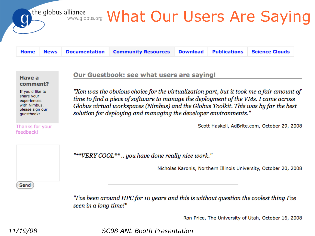

**Documentation Download Publications Science Clouds Community Resources Home News** 

| Have a   |  |
|----------|--|
| comment? |  |

If you'd like to share your experiences with Nimbus, please sign our questbook:

Thanks for your feedback!

Our Guestbook: see what users are saying!

"Xen was the obvious choice for the virtualization part, but it took me a fair amount of time to find a piece of software to manage the deployment of the VMs. I came across Globus virtual workspaces (Nimbus) and the Globus Toolkit. This was by far the best solution for deploying and managing the developer environments."

Scott Haskell, AdBrite.com, October 29, 2008

"\*\*VERY COOL\*\*.. you have done really nice work."

Nicholas Karonis, Northern Illinois University, October 20, 2008

"I've been around HPC for 10 years and this is without question the coolest thing I've seen in a long time!"

Ron Price, The University of Utah, October 16, 2008

*11/19/08 SC08 ANL Booth Presentation*

Send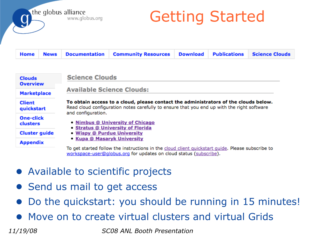# Getting Started

| Home News Documentation Community Resources Download Publications Science Clouds |
|----------------------------------------------------------------------------------|
|----------------------------------------------------------------------------------|

| <b>Clouds</b><br><b>Overview</b>    | <b>Science Clouds</b>                                                                                                                                                                                                                                                                                                                                                                                                                                     |
|-------------------------------------|-----------------------------------------------------------------------------------------------------------------------------------------------------------------------------------------------------------------------------------------------------------------------------------------------------------------------------------------------------------------------------------------------------------------------------------------------------------|
| <b>Marketplace</b>                  | <b>Available Science Clouds:</b>                                                                                                                                                                                                                                                                                                                                                                                                                          |
| <b>Client</b><br>quickstart         | To obtain access to a cloud, please contact the administrators of the clouds below.<br>Read cloud configuration notes carefully to ensure that you end up with the right software<br>and configuration.<br>• Nimbus @ University of Chicago<br>• Stratus @ University of Florida<br>• Wispy @ Purdue University<br><b>• Kupa @ Masaryk University</b><br>To get started follow the instructions in the cloud client quickstart quide. Please subscribe to |
| <b>One-click</b><br><b>clusters</b> |                                                                                                                                                                                                                                                                                                                                                                                                                                                           |
| <b>Cluster guide</b>                |                                                                                                                                                                                                                                                                                                                                                                                                                                                           |
| <b>Appendix</b>                     |                                                                                                                                                                                                                                                                                                                                                                                                                                                           |

workspace-user@qlobus.org for updates on cloud status (subscribe).

- Available to scientific projects
- Send us mail to get access
- Do the quickstart: you should be running in 15 minutes!
- Move on to create virtual clusters and virtual Grids